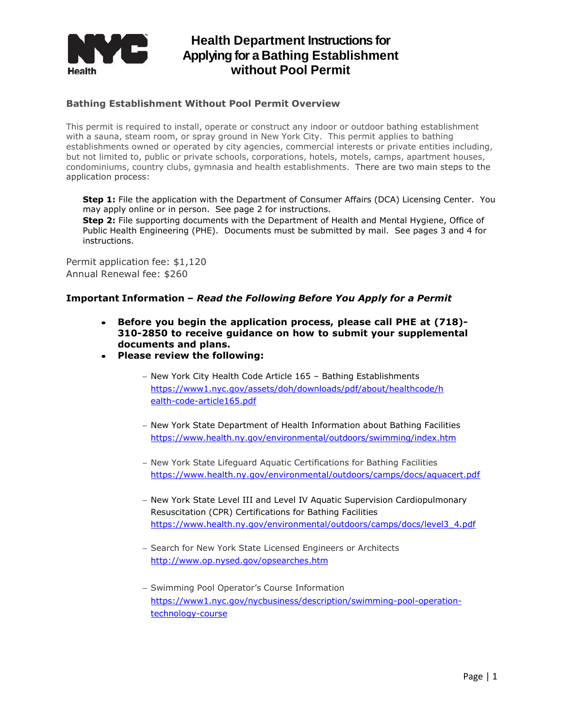

### **Bathing Establishment Without Pool Permit Overview**

This permit is required to install, operate or construct any indoor or outdoor bathing establishment with a sauna, steam room, or spray ground in New York City. This permit applies to bathing establishments owned or operated by city agencies, commercial interests or private entities including, but not limited to, public or private schools, corporations, hotels, motels, camps, apartment houses, condominiums, country clubs, gymnasia and health establishments. There are two main steps to the application process:

**Step 1:** File the application with the Department of Consumer Affairs (DCA) Licensing Center. You may apply online or in person. See page 2 for instructions.

**Step 2:** File supporting documents with the Department of Health and Mental Hygiene, Office of Public Health Engineering (PHE). Documents must be submitted by mail. See pages 3 and 4 for instructions.

Permit application fee: \$1,120 Annual Renewal fee: \$260

#### **Important Information –** *Read the Following Before You Apply for a Permit*

- **Before you begin the application process, please call PHE at (718)- 310-2850 to receive guidance on how to submit your supplemental documents and plans.**
- **Please review the following:**
	- New York City Health Code Article 165 Bathing Establishments [https://www1.nyc.gov/assets/doh/downloads/pdf/about/healthcode/h](https://www1.nyc.gov/assets/doh/downloads/pdf/about/healthcode/health-code-article165.pdf) [ealth-code-article165.pdf](https://www1.nyc.gov/assets/doh/downloads/pdf/about/healthcode/health-code-article165.pdf)
	- New York State Department of Health Information about Bathing Facilities https://www.health.ny.gov/environmental/outdoors/swimming/index.htm
	- New York State Lifeguard Aguatic Certifications for Bathing Facilities <https://www.health.ny.gov/environmental/outdoors/camps/docs/aquacert.pdf>
	- New York State Level III and Level IV Aquatic Supervision Cardiopulmonary Resuscitation (CPR) Certifications for Bathing Facilities [https://www.health.ny.gov/environmental/outdoors/camps/docs/level3\\_4.pdf](https://www.health.ny.gov/environmental/outdoors/camps/docs/level3_4.pdf)
	- Search for New York State Licensed Engineers or Architects <http://www.op.nysed.gov/opsearches.htm>
	- Swimming Pool Operator's Course Information [https://www1.nyc.gov/nycbusiness/description/swimming-pool-operation](https://www1.nyc.gov/nycbusiness/description/swimming-pool-operation-technology-course)[technology-course](https://www1.nyc.gov/nycbusiness/description/swimming-pool-operation-technology-course)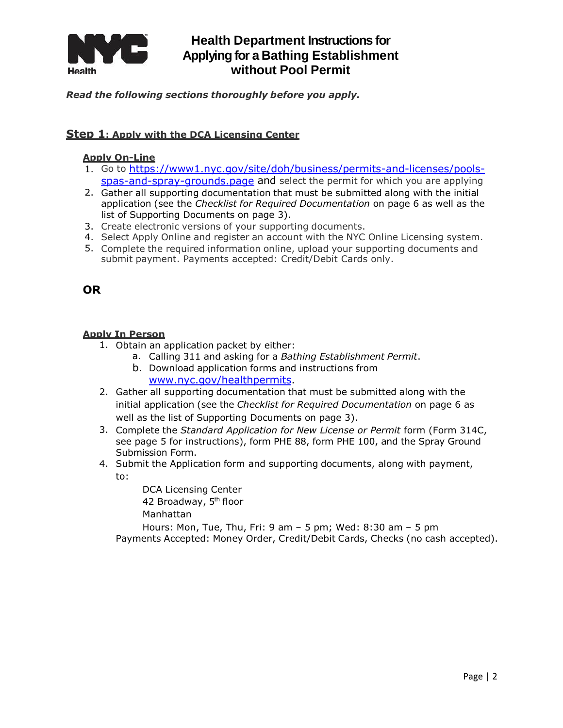

## *Read the following sections thoroughly before you apply.*

### **Step 1: Apply with the DCA Licensing Center**

### **Apply On-Line**

- 1. Go to [https://www1.nyc.gov/site/doh/business/permits-and-licenses/pools](https://www1.nyc.gov/site/doh/business/permits-and-licenses/pools-spas-and-spray-grounds.page)[spas-and-spray-grounds.page](https://www1.nyc.gov/site/doh/business/permits-and-licenses/pools-spas-and-spray-grounds.page) and select the permit for which you are applying
- 2. Gather all supporting documentation that must be submitted along with the initial application (see the *Checklist for Required Documentation* on page 6 as well as the list of Supporting Documents on page 3).
- 3. Create electronic versions of your supporting documents.
- 4. Select Apply Online and register an account with the NYC Online Licensing system.
- 5. Complete the required information online, upload your supporting documents and submit payment. Payments accepted: Credit/Debit Cards only.

## **OR**

## **Apply In Person**

- 1. Obtain an application packet by either:
	- a. Calling 311 and asking for a *Bathing Establishment Permit*.
	- b. Download application forms and instructions from [www.nyc.gov/healthpermits.](http://www.nyc.gov/healthpermits)
- 2. Gather all supporting documentation that must be submitted along with the initial application (see the *Checklist for Required Documentation* on page 6 as well as the list of Supporting Documents on page 3).
- 3. Complete the *Standard Application for New License or Permit* form (Form 314C, see page 5 for instructions), form PHE 88, form PHE 100, and the Spray Ground Submission Form.
- 4. Submit the Application form and supporting documents, along with payment, to:

DCA Licensing Center 42 Broadway, 5<sup>th</sup> floor Manhattan

Hours: Mon, Tue, Thu, Fri: 9 am – 5 pm; Wed: 8:30 am – 5 pm Payments Accepted: Money Order, Credit/Debit Cards, Checks (no cash accepted).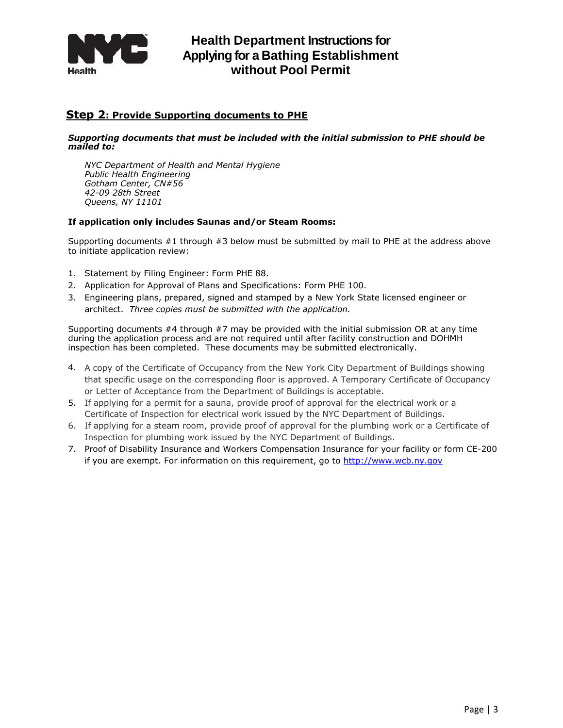

### **Step 2: Provide Supporting documents to PHE**

#### *Supporting documents that must be included with the initial submission to PHE should be mailed to:*

*NYC Department of Health and Mental Hygiene Public Health Engineering Gotham Center, CN#56 42-09 28th Street Queens, NY 11101*

#### **If application only includes Saunas and/or Steam Rooms:**

Supporting documents #1 through #3 below must be submitted by mail to PHE at the address above to initiate application review:

- 1. Statement by Filing Engineer: Form PHE 88.
- 2. Application for Approval of Plans and Specifications: Form PHE 100.
- 3. Engineering plans, prepared, signed and stamped by a New York State licensed engineer or architect. *Three copies must be submitted with the application.*

Supporting documents #4 through #7 may be provided with the initial submission OR at any time during the application process and are not required until after facility construction and DOHMH inspection has been completed. These documents may be submitted electronically.

- 4. A copy of the Certificate of Occupancy from the New York City Department of Buildings showing that specific usage on the corresponding floor is approved. A Temporary Certificate of Occupancy or Letter of Acceptance from the Department of Buildings is acceptable.
- 5. If applying for a permit for a sauna, provide proof of approval for the electrical work or a Certificate of Inspection for electrical work issued by the NYC Department of Buildings.
- 6. If applying for a steam room, provide proof of approval for the plumbing work or a Certificate of Inspection for plumbing work issued by the NYC Department of Buildings.
- 7. Proof of Disability Insurance and Workers Compensation Insurance for your facility or form CE-200 if you are exempt. For information on this requirement, go to [http://www.wcb.ny.gov](http://www.wcb.ny.gov/)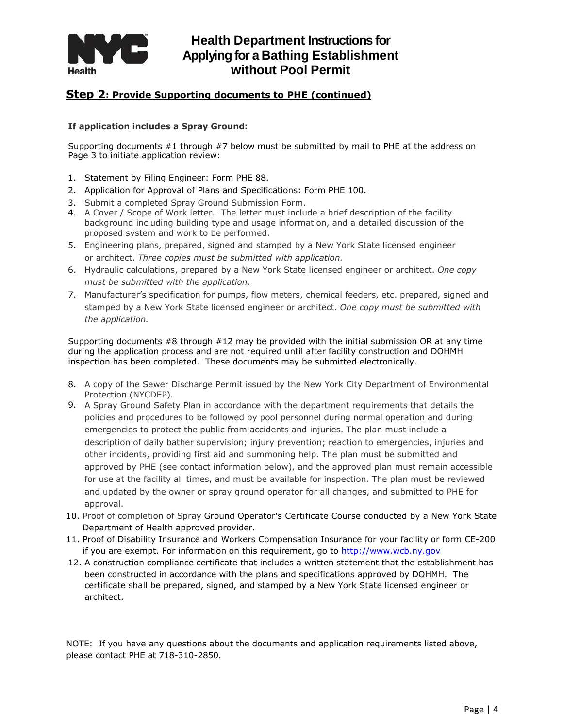

## **Step 2: Provide Supporting documents to PHE (continued)**

#### **If application includes a Spray Ground:**

Supporting documents #1 through #7 below must be submitted by mail to PHE at the address on Page 3 to initiate application review:

- 1. Statement by Filing Engineer: Form PHE 88.
- 2. Application for Approval of Plans and Specifications: Form PHE 100.
- 3. Submit a completed Spray Ground Submission Form.
- 4. A Cover / Scope of Work letter. The letter must include a brief description of the facility background including building type and usage information, and a detailed discussion of the proposed system and work to be performed.
- 5. Engineering plans, prepared, signed and stamped by a New York State licensed engineer or architect. *Three copies must be submitted with application.*
- 6. Hydraulic calculations, prepared by a New York State licensed engineer or architect. *One copy must be submitted with the application.*
- 7. Manufacturer's specification for pumps, flow meters, chemical feeders, etc. prepared, signed and stamped by a New York State licensed engineer or architect. *One copy must be submitted with the application.*

Supporting documents  $#8$  through  $#12$  may be provided with the initial submission OR at any time during the application process and are not required until after facility construction and DOHMH inspection has been completed. These documents may be submitted electronically.

- 8. A copy of the Sewer Discharge Permit issued by the New York City Department of Environmental Protection (NYCDEP).
- 9. A Spray Ground Safety Plan in accordance with the department requirements that details the policies and procedures to be followed by pool personnel during normal operation and during emergencies to protect the public from accidents and injuries. The plan must include a description of daily bather supervision; injury prevention; reaction to emergencies, injuries and other incidents, providing first aid and summoning help. The plan must be submitted and approved by PHE (see contact information below), and the approved plan must remain accessible for use at the facility all times, and must be available for inspection. The plan must be reviewed and updated by the owner or spray ground operator for all changes, and submitted to PHE for approval.
- 10. Proof of completion of Spray Ground Operator's Certificate Course conducted by a New York State [Department of Health approved provider.](http://www.nyc.gov/html/doh/html/hany/hanyswim.shtml)
- 11. Proof of Disability Insurance and Workers Compensation Insurance for your facility or form CE-200 if you are exempt. For information on this requirement, go to [http://www.wcb.ny.gov](http://www.wcb.ny.gov/)
- 12. A construction compliance certificate that includes a written statement that the establishment has been constructed in accordance with the plans and specifications approved by DOHMH. The certificate shall be prepared, signed, and stamped by a New York State licensed engineer or architect.

NOTE: If you have any questions about the documents and application requirements listed above, please contact PHE at 718-310-2850.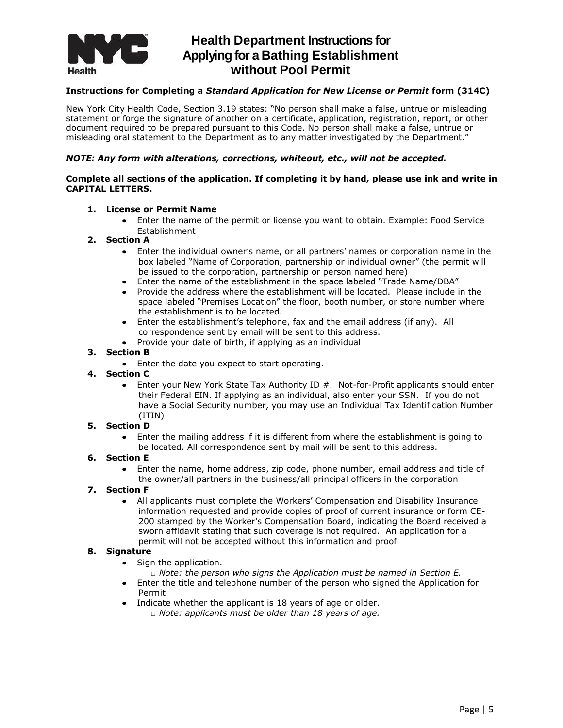

#### **Instructions for Completing a** *Standard Application for New License or Permit* **form (314C)**

New York City Health Code, Section 3.19 states: "No person shall make a false, untrue or misleading statement or forge the signature of another on a certificate, application, registration, report, or other document required to be prepared pursuant to this Code. No person shall make a false, untrue or misleading oral statement to the Department as to any matter investigated by the Department."

#### *NOTE: Any form with alterations, corrections, whiteout, etc., will not be accepted.*

#### **Complete all sections of the application. If completing it by hand, please use ink and write in CAPITAL LETTERS.**

#### **1. License or Permit Name**

 Enter the name of the permit or license you want to obtain. Example: Food Service Establishment

#### **2. Section A**

- Enter the individual owner's name, or all partners' names or corporation name in the box labeled "Name of Corporation, partnership or individual owner" (the permit will be issued to the corporation, partnership or person named here)
- Enter the name of the establishment in the space labeled "Trade Name/DBA"
- Provide the address where the establishment will be located. Please include in the space labeled "Premises Location" the floor, booth number, or store number where the establishment is to be located.
- Enter the establishment's telephone, fax and the email address (if any). All correspondence sent by email will be sent to this address.
- Provide your date of birth, if applying as an individual

#### **3. Section B**

• Enter the date you expect to start operating.

#### **4. Section C**

• Enter your New York State Tax Authority ID #. Not-for-Profit applicants should enter their Federal EIN. If applying as an individual, also enter your SSN. If you do not have a Social Security number, you may use an Individual Tax Identification Number (ITIN)

#### **5. Section D**

 Enter the mailing address if it is different from where the establishment is going to be located. All correspondence sent by mail will be sent to this address.

#### **6. Section E**

 Enter the name, home address, zip code, phone number, email address and title of the owner/all partners in the business/all principal officers in the corporation

#### **7. Section F**

 All applicants must complete the Workers' Compensation and Disability Insurance information requested and provide copies of proof of current insurance or form CE-200 stamped by the Worker's Compensation Board, indicating the Board received a sworn affidavit stating that such coverage is not required. An application for a permit will not be accepted without this information and proof

#### **8. Signature**

- Sign the application.
	- □ *Note: the person who signs the Application must be named in Section E.*
- Enter the title and telephone number of the person who signed the Application for Permit
- Indicate whether the applicant is 18 years of age or older.
	- □ *Note: applicants must be older than 18 years of age.*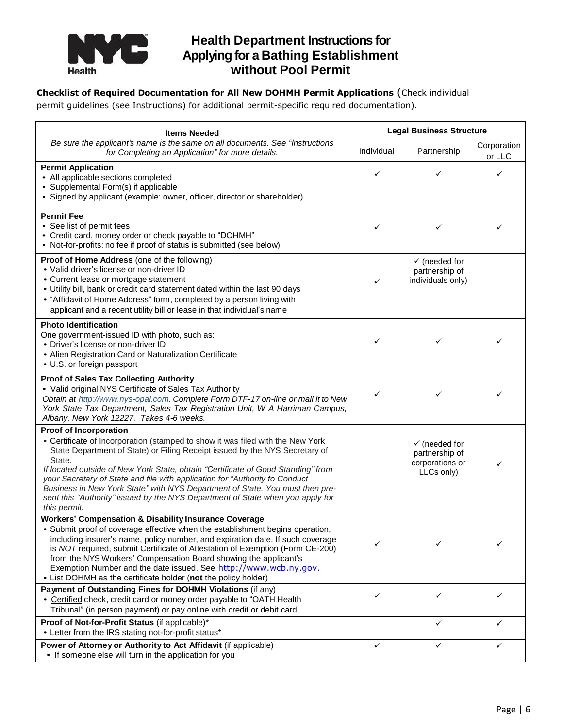

## **Checklist of Required Documentation for All New DOHMH Permit Applications** (Check individual

permit guidelines (see Instructions) for additional permit-specific required documentation).

| <b>Items Needed</b>                                                                                                                                                                                                                                                                                                                                                                                                                                                                                                                                           | <b>Legal Business Structure</b> |                                                                             |                       |  |  |  |
|---------------------------------------------------------------------------------------------------------------------------------------------------------------------------------------------------------------------------------------------------------------------------------------------------------------------------------------------------------------------------------------------------------------------------------------------------------------------------------------------------------------------------------------------------------------|---------------------------------|-----------------------------------------------------------------------------|-----------------------|--|--|--|
| Be sure the applicant's name is the same on all documents. See "Instructions<br>for Completing an Application" for more details.                                                                                                                                                                                                                                                                                                                                                                                                                              | Individual                      | Partnership                                                                 | Corporation<br>or LLC |  |  |  |
| <b>Permit Application</b><br>• All applicable sections completed<br>• Supplemental Form(s) if applicable<br>• Signed by applicant (example: owner, officer, director or shareholder)                                                                                                                                                                                                                                                                                                                                                                          | ✓                               | ✓                                                                           | ✓                     |  |  |  |
| <b>Permit Fee</b><br>• See list of permit fees<br>• Credit card, money order or check payable to "DOHMH"<br>• Not-for-profits: no fee if proof of status is submitted (see below)                                                                                                                                                                                                                                                                                                                                                                             | ✓                               | ✓                                                                           |                       |  |  |  |
| Proof of Home Address (one of the following)<br>• Valid driver's license or non-driver ID<br>• Current lease or mortgage statement<br>• Utility bill, bank or credit card statement dated within the last 90 days<br>• "Affidavit of Home Address" form, completed by a person living with<br>applicant and a recent utility bill or lease in that individual's name                                                                                                                                                                                          | ✓                               | $\checkmark$ (needed for<br>partnership of<br>individuals only)             |                       |  |  |  |
| <b>Photo Identification</b><br>One government-issued ID with photo, such as:<br>• Driver's license or non-driver ID<br>• Alien Registration Card or Naturalization Certificate<br>• U.S. or foreign passport                                                                                                                                                                                                                                                                                                                                                  | ✓                               | ✓                                                                           |                       |  |  |  |
| <b>Proof of Sales Tax Collecting Authority</b><br>• Valid original NYS Certificate of Sales Tax Authority<br>Obtain at http://www.nys-opal.com. Complete Form DTF-17 on-line or mail it to New<br>York State Tax Department, Sales Tax Registration Unit, W A Harriman Campus,<br>Albany, New York 12227. Takes 4-6 weeks.                                                                                                                                                                                                                                    | ✓                               | ✓                                                                           |                       |  |  |  |
| <b>Proof of Incorporation</b><br>• Certificate of Incorporation (stamped to show it was filed with the New York<br>State Department of State) or Filing Receipt issued by the NYS Secretary of<br>State.<br>If located outside of New York State, obtain "Certificate of Good Standing" from<br>your Secretary of State and file with application for "Authority to Conduct<br>Business in New York State" with NYS Department of State. You must then pre-<br>sent this "Authority" issued by the NYS Department of State when you apply for<br>this permit. |                                 | $\checkmark$ (needed for<br>partnership of<br>corporations or<br>LLCs only) | ✓                     |  |  |  |
| <b>Workers' Compensation &amp; Disability Insurance Coverage</b><br>• Submit proof of coverage effective when the establishment begins operation,<br>including insurer's name, policy number, and expiration date. If such coverage<br>is NOT required, submit Certificate of Attestation of Exemption (Form CE-200)<br>from the NYS Workers' Compensation Board showing the applicant's<br>Exemption Number and the date issued. See http://www.wcb.ny.gov.<br>• List DOHMH as the certificate holder (not the policy holder)                                | ✓                               |                                                                             |                       |  |  |  |
| Payment of Outstanding Fines for DOHMH Violations (if any)<br>• Certified check, credit card or money order payable to "OATH Health<br>Tribunal" (in person payment) or pay online with credit or debit card                                                                                                                                                                                                                                                                                                                                                  | ✓                               | ✓                                                                           | ✓                     |  |  |  |
| Proof of Not-for-Profit Status (if applicable)*<br>• Letter from the IRS stating not-for-profit status*                                                                                                                                                                                                                                                                                                                                                                                                                                                       |                                 | ✓                                                                           | ✓                     |  |  |  |
| Power of Attorney or Authority to Act Affidavit (if applicable)<br>• If someone else will turn in the application for you                                                                                                                                                                                                                                                                                                                                                                                                                                     | ✓                               | ✓                                                                           | ✓                     |  |  |  |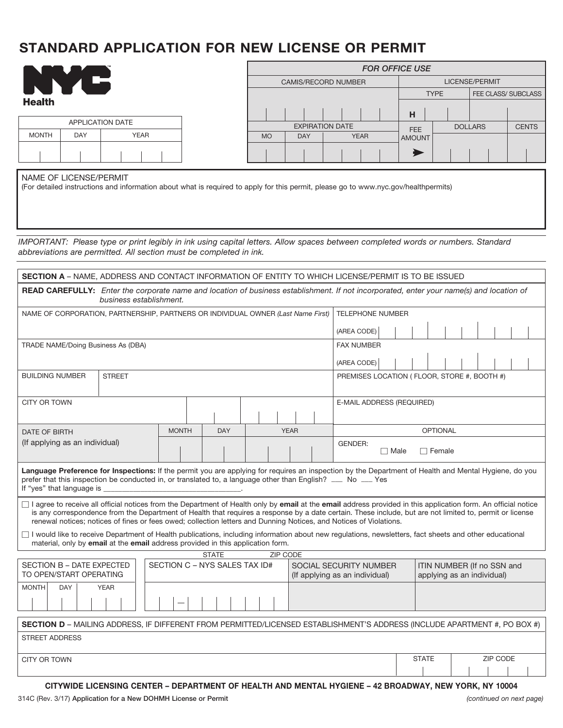# **STANDARD Application for NEW License or Permit**

|        | TM |
|--------|----|
|        |    |
| Health |    |

| APPLICATION DATE |            |             |  |  |  |  |  |
|------------------|------------|-------------|--|--|--|--|--|
| <b>MONTH</b>     | <b>DAY</b> | <b>YEAR</b> |  |  |  |  |  |
|                  |            |             |  |  |  |  |  |

| <b>FOR OFFICE USE</b>      |            |             |  |  |                       |   |  |                |  |                     |  |
|----------------------------|------------|-------------|--|--|-----------------------|---|--|----------------|--|---------------------|--|
| <b>CAMIS/RECORD NUMBER</b> |            |             |  |  | <b>LICENSE/PERMIT</b> |   |  |                |  |                     |  |
|                            |            |             |  |  | <b>TYPE</b>           |   |  |                |  | FEE CLASS/ SUBCLASS |  |
|                            |            |             |  |  |                       | н |  |                |  |                     |  |
| <b>EXPIRATION DATE</b>     |            |             |  |  | <b>FEE</b>            |   |  | <b>DOLLARS</b> |  | <b>CENTS</b>        |  |
| <b>MO</b>                  | <b>DAY</b> | <b>YEAR</b> |  |  | <b>AMOUNT</b>         |   |  |                |  |                     |  |
|                            |            |             |  |  |                       |   |  |                |  |                     |  |

NAME OF LICENSE/PERMIT

(For detailed instructions and information about what is required to apply for this permit, please go to www.nyc.gov/healthpermits)

*IMPORTANT: Please type or print legibly in ink using capital letters. Allow spaces between completed words or numbers. Standard abbreviations are permitted. All section must be completed in ink.*

| <b>SECTION A</b> – NAME, ADDRESS AND CONTACT INFORMATION OF ENTITY TO WHICH LICENSE/PERMIT IS TO BE ISSUED                                                                 |  |              |  |                               |                           |                 |                                             |  |                                                                                                                                                                                                                                                                                                                              |  |  |  |  |  |
|----------------------------------------------------------------------------------------------------------------------------------------------------------------------------|--|--------------|--|-------------------------------|---------------------------|-----------------|---------------------------------------------|--|------------------------------------------------------------------------------------------------------------------------------------------------------------------------------------------------------------------------------------------------------------------------------------------------------------------------------|--|--|--|--|--|
| <b>READ CAREFULLY:</b> Enter the corporate name and location of business establishment. If not incorporated, enter your name(s) and location of<br>business establishment. |  |              |  |                               |                           |                 |                                             |  |                                                                                                                                                                                                                                                                                                                              |  |  |  |  |  |
| NAME OF CORPORATION, PARTNERSHIP, PARTNERS OR INDIVIDUAL OWNER (Last Name First)                                                                                           |  |              |  |                               |                           |                 | <b>TELEPHONE NUMBER</b>                     |  |                                                                                                                                                                                                                                                                                                                              |  |  |  |  |  |
|                                                                                                                                                                            |  |              |  |                               |                           |                 | (AREA CODE)                                 |  |                                                                                                                                                                                                                                                                                                                              |  |  |  |  |  |
| TRADE NAME/Doing Business As (DBA)                                                                                                                                         |  |              |  |                               |                           |                 |                                             |  | <b>FAX NUMBER</b>                                                                                                                                                                                                                                                                                                            |  |  |  |  |  |
|                                                                                                                                                                            |  |              |  |                               |                           |                 | (AREA CODE)                                 |  |                                                                                                                                                                                                                                                                                                                              |  |  |  |  |  |
| <b>BUILDING NUMBER</b><br><b>STREET</b>                                                                                                                                    |  |              |  |                               |                           |                 | PREMISES LOCATION (FLOOR, STORE #, BOOTH #) |  |                                                                                                                                                                                                                                                                                                                              |  |  |  |  |  |
| CITY OR TOWN                                                                                                                                                               |  |              |  |                               |                           |                 |                                             |  | E-MAIL ADDRESS (REQUIRED)                                                                                                                                                                                                                                                                                                    |  |  |  |  |  |
|                                                                                                                                                                            |  |              |  |                               |                           |                 |                                             |  |                                                                                                                                                                                                                                                                                                                              |  |  |  |  |  |
| <b>DATE OF BIRTH</b>                                                                                                                                                       |  | <b>MONTH</b> |  |                               | <b>DAY</b><br><b>YEAR</b> |                 |                                             |  | <b>OPTIONAL</b>                                                                                                                                                                                                                                                                                                              |  |  |  |  |  |
| (If applying as an individual)                                                                                                                                             |  |              |  |                               |                           |                 |                                             |  | <b>GENDER:</b><br>$\Box$ Female<br>$\Box$ Male                                                                                                                                                                                                                                                                               |  |  |  |  |  |
| prefer that this inspection be conducted in, or translated to, a language other than English? __ No __ Yes<br>If "yes" that language is                                    |  |              |  |                               |                           |                 |                                             |  | Language Preference for Inspections: If the permit you are applying for requires an inspection by the Department of Health and Mental Hygiene, do you                                                                                                                                                                        |  |  |  |  |  |
| renewal notices; notices of fines or fees owed; collection letters and Dunning Notices, and Notices of Violations.                                                         |  |              |  |                               |                           |                 |                                             |  | □ I agree to receive all official notices from the Department of Health only by email at the email address provided in this application form. An official notice<br>is any correspondence from the Department of Health that requires a response by a date certain. These include, but are not limited to, permit or license |  |  |  |  |  |
| material, only by email at the email address provided in this application form.                                                                                            |  |              |  |                               |                           |                 |                                             |  | □ I would like to receive Department of Health publications, including information about new regulations, newsletters, fact sheets and other educational                                                                                                                                                                     |  |  |  |  |  |
|                                                                                                                                                                            |  |              |  | <b>STATE</b>                  |                           | <b>ZIP CODE</b> |                                             |  |                                                                                                                                                                                                                                                                                                                              |  |  |  |  |  |
| SECTION B - DATE EXPECTED<br>TO OPEN/START OPERATING                                                                                                                       |  |              |  | SECTION C - NYS SALES TAX ID# |                           |                 |                                             |  | SOCIAL SECURITY NUMBER<br>ITIN NUMBER (If no SSN and<br>applying as an individual)<br>(If applying as an individual)                                                                                                                                                                                                         |  |  |  |  |  |
| <b>YEAR</b><br><b>MONTH</b><br><b>DAY</b>                                                                                                                                  |  |              |  |                               |                           |                 |                                             |  |                                                                                                                                                                                                                                                                                                                              |  |  |  |  |  |
|                                                                                                                                                                            |  |              |  |                               |                           |                 |                                             |  |                                                                                                                                                                                                                                                                                                                              |  |  |  |  |  |
| SECTION D - MAILING ADDRESS, IF DIFFERENT FROM PERMITTED/LICENSED ESTABLISHMENT'S ADDRESS (INCLUDE APARTMENT #, PO BOX #)                                                  |  |              |  |                               |                           |                 |                                             |  |                                                                                                                                                                                                                                                                                                                              |  |  |  |  |  |
| <b>STREET ADDRESS</b>                                                                                                                                                      |  |              |  |                               |                           |                 |                                             |  |                                                                                                                                                                                                                                                                                                                              |  |  |  |  |  |
| CITY OR TOWN                                                                                                                                                               |  |              |  |                               |                           |                 | ZIP CODE<br><b>STATE</b>                    |  |                                                                                                                                                                                                                                                                                                                              |  |  |  |  |  |
| CITYWIDE LICENSING CENTER – DEPARTMENT OF HEALTH AND MENTAL HYGIENE – 42 BROADWAY, NEW YORK, NY 10004                                                                      |  |              |  |                               |                           |                 |                                             |  |                                                                                                                                                                                                                                                                                                                              |  |  |  |  |  |